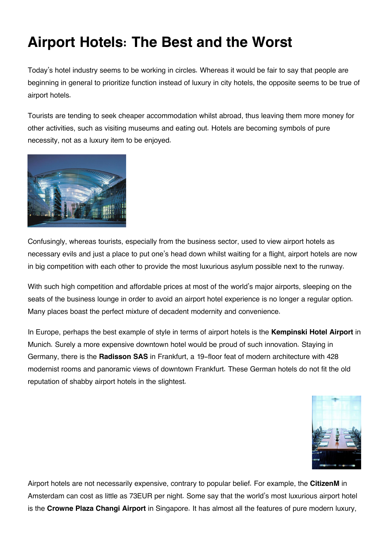## **Airport Hotels: The Best and the Worst**

Today's hotel industry seems to be working in circles. Whereas it would be fair to say that people are beginning in general to prioritize function instead of luxury in city hotels, the opposite seems to be true of airport hotels.

Tourists are tending to seek cheaper accommodation whilst abroad, thus leaving them more money for other activities, such as visiting museums and eating out. Hotels are becoming symbols of pure necessity, not as a luxury item to be enjoyed.



Confusingly, whereas tourists, especially from the business sector, used to view airport hotels as necessary evils and just a place to put one's head down whilst waiting for a flight, airport hotels are now in big competition with each other to provide the most luxurious asylum possible next to the runway.

With such high competition and affordable prices at most of the world's major airports, sleeping on the seats of the business lounge in order to avoid an airport hotel experience is no longer a regular option. Many places boast the perfect mixture of decadent modernity and convenience.

In Europe, perhaps the best example of style in terms of airport hotels is the **Kempinski Hotel Airport** in Munich. Surely a more expensive downtown hotel would be proud of such innovation. Staying in Germany, there is the **Radisson SAS** in Frankfurt, a 19-floor feat of modern architecture with 428 modernist rooms and panoramic views of downtown Frankfurt. These German hotels do not fit the old reputation of shabby airport hotels in the slightest.



Airport hotels are not necessarily expensive, contrary to popular belief. For example, the **CitizenM** in Amsterdam can cost as little as 73EUR per night. Some say that the world's most luxurious airport hotel is the **Crowne Plaza Changi Airport** in Singapore. It has almost all the features of pure modern luxury,